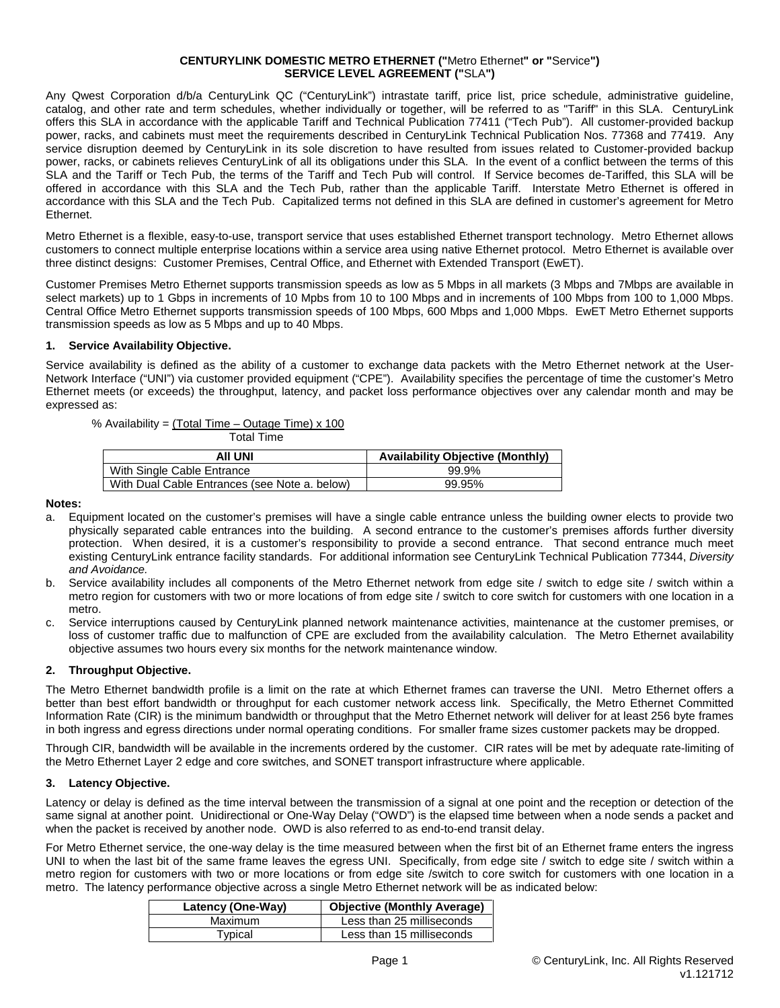#### **CENTURYLINK DOMESTIC METRO ETHERNET ("**Metro Ethernet**" or "**Service**") SERVICE LEVEL AGREEMENT ("**SLA**")**

Any Qwest Corporation d/b/a CenturyLink QC ("CenturyLink") intrastate tariff, price list, price schedule, administrative guideline, catalog, and other rate and term schedules, whether individually or together, will be referred to as "Tariff" in this SLA. CenturyLink offers this SLA in accordance with the applicable Tariff and Technical Publication 77411 ("Tech Pub"). All customer-provided backup power, racks, and cabinets must meet the requirements described in CenturyLink Technical Publication Nos. 77368 and 77419. Any service disruption deemed by CenturyLink in its sole discretion to have resulted from issues related to Customer-provided backup power, racks, or cabinets relieves CenturyLink of all its obligations under this SLA. In the event of a conflict between the terms of this SLA and the Tariff or Tech Pub, the terms of the Tariff and Tech Pub will control. If Service becomes de-Tariffed, this SLA will be offered in accordance with this SLA and the Tech Pub, rather than the applicable Tariff. Interstate Metro Ethernet is offered in accordance with this SLA and the Tech Pub. Capitalized terms not defined in this SLA are defined in customer's agreement for Metro Ethernet.

Metro Ethernet is a flexible, easy-to-use, transport service that uses established Ethernet transport technology. Metro Ethernet allows customers to connect multiple enterprise locations within a service area using native Ethernet protocol. Metro Ethernet is available over three distinct designs: Customer Premises, Central Office, and Ethernet with Extended Transport (EwET).

Customer Premises Metro Ethernet supports transmission speeds as low as 5 Mbps in all markets (3 Mbps and 7Mbps are available in select markets) up to 1 Gbps in increments of 10 Mpbs from 10 to 100 Mbps and in increments of 100 Mbps from 100 to 1,000 Mbps. Central Office Metro Ethernet supports transmission speeds of 100 Mbps, 600 Mbps and 1,000 Mbps. EwET Metro Ethernet supports transmission speeds as low as 5 Mbps and up to 40 Mbps.

### **1. Service Availability Objective.**

Service availability is defined as the ability of a customer to exchange data packets with the Metro Ethernet network at the User-Network Interface ("UNI") via customer provided equipment ("CPE"). Availability specifies the percentage of time the customer's Metro Ethernet meets (or exceeds) the throughput, latency, and packet loss performance objectives over any calendar month and may be expressed as:

### % Availability =  $(Total Time - Outage Time) \times 100$

| Total Time                                    |                                         |
|-----------------------------------------------|-----------------------------------------|
| AII UNI                                       | <b>Availability Objective (Monthly)</b> |
| With Single Cable Entrance                    | 99.9%                                   |
| With Dual Cable Entrances (see Note a, below) | 99.95%                                  |

**Notes:**

- a. Equipment located on the customer's premises will have a single cable entrance unless the building owner elects to provide two physically separated cable entrances into the building. A second entrance to the customer's premises affords further diversity protection. When desired, it is a customer's responsibility to provide a second entrance. That second entrance much meet existing CenturyLink entrance facility standards. For additional information see CenturyLink Technical Publication 77344, *Diversity and Avoidance.*
- b. Service availability includes all components of the Metro Ethernet network from edge site / switch to edge site / switch within a metro region for customers with two or more locations of from edge site / switch to core switch for customers with one location in a metro.
- c. Service interruptions caused by CenturyLink planned network maintenance activities, maintenance at the customer premises, or loss of customer traffic due to malfunction of CPE are excluded from the availability calculation. The Metro Ethernet availability objective assumes two hours every six months for the network maintenance window.

### **2. Throughput Objective.**

The Metro Ethernet bandwidth profile is a limit on the rate at which Ethernet frames can traverse the UNI. Metro Ethernet offers a better than best effort bandwidth or throughput for each customer network access link. Specifically, the Metro Ethernet Committed Information Rate (CIR) is the minimum bandwidth or throughput that the Metro Ethernet network will deliver for at least 256 byte frames in both ingress and egress directions under normal operating conditions. For smaller frame sizes customer packets may be dropped.

Through CIR, bandwidth will be available in the increments ordered by the customer. CIR rates will be met by adequate rate-limiting of the Metro Ethernet Layer 2 edge and core switches, and SONET transport infrastructure where applicable.

### **3. Latency Objective.**

Latency or delay is defined as the time interval between the transmission of a signal at one point and the reception or detection of the same signal at another point. Unidirectional or One-Way Delay ("OWD") is the elapsed time between when a node sends a packet and when the packet is received by another node. OWD is also referred to as end-to-end transit delay.

For Metro Ethernet service, the one-way delay is the time measured between when the first bit of an Ethernet frame enters the ingress UNI to when the last bit of the same frame leaves the egress UNI. Specifically, from edge site / switch to edge site / switch within a metro region for customers with two or more locations or from edge site /switch to core switch for customers with one location in a metro. The latency performance objective across a single Metro Ethernet network will be as indicated below:

| Latency (One-Way) | Objective (Monthly Average) |
|-------------------|-----------------------------|
| Maximum           | Less than 25 milliseconds   |
| Typical           | Less than 15 milliseconds   |